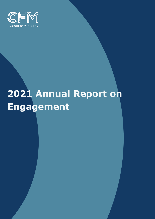

# **2021 Annual Report on Engagement**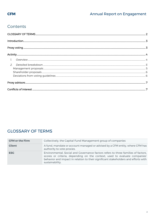# Contents

| $\mathcal{P}$ |  |
|---------------|--|
|               |  |
|               |  |
|               |  |
|               |  |
|               |  |

# <span id="page-1-0"></span>**GLOSSARY OF TERMS**

| <b>CFM or the Firm</b> | Collectively, the Capital Fund Management group of companies                                                                                                                                                                                                            |
|------------------------|-------------------------------------------------------------------------------------------------------------------------------------------------------------------------------------------------------------------------------------------------------------------------|
| <b>Client</b>          | A fund, mandate or account managed or advised by a CFM entity, where CFM has<br>authority to vote proxies.                                                                                                                                                              |
| <b>ESG</b>             | Environmental, Social and Governance factors refers to three families of factors,<br>scores or criteria, depending on the context, used to evaluate companies'<br>behavior and impact in relation to their significant stakeholders and efforts with<br>sustainability. |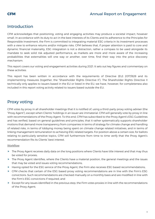# <span id="page-2-0"></span>Introduction

CFM acknowledges that positioning, voting and engaging activities may produce a societal impact, however small. In accordance with its duty to act in the best interests of its Clients and its adherence to the Principles for Responsible Investment, the Firm is committed to integrating material ESG criteria in its investment processes with a view to enhance returns and/or mitigate risks. CFM believes that, if proper attention is paid to core and dynamic financial materiality, ESG integration is not a distraction, rather a compass to be used alongside its mandate to seek solid risk adjusted performance, as markets are more and more aware of the increasing probabilities that externalities will one way or another, over time, find their way into the price discovery mechanism.

This report covers our voting and engagement activities during 2021. It sets out key figures and commentary on these activities.

This report has been written in accordance with the requirements of Directive (EU) 2017/828 and its implementing measures (together, the "Shareholder Rights Directive II"). The Shareholder Rights Directive II technically only applies to issuers based in the EU or listed in the EU, we have, however, for completeness also included in this report voting activity related to issuers based outside the EU.

## <span id="page-2-1"></span>Proxy voting

CFM votes by proxy in all shareholder meetings that it is notified of, using a third-party proxy voting adviser (the "Proxy Agent"), except when Clients' holdings in an issuer are immaterial. CFM will generally vote by proxy in line with recommendations of the Proxy Agent. To this end, CFM has subscribed to the Proxy Agent's ESG Guidelines and has verified, based on general guidelines and principles, that it rather systematically supports shareholder motions that demand more transparency from companies in terms of strategy for climate change and handling of related risks, in terms of lobbying money being spent on climate change related initiatives, and in terms of linking management remuneration to achieving ESG related targets. For position above a certain size, for ballots relating to particularly sensitive topics, CFM will furthermore from time to time verify that the Proxy Agent's recommendation fits its Clients' best interest.

#### Workflow

- $\blacktriangleright$  The Proxy Agent receives daily data on the long positions where Clients have title interest and that may thus be voted for proxies;
- $\blacktriangleright$  The Proxy Agent identifies, where the Clients have a material position, the general meetings and the issues that may be voted and issues voting recommendations;
- Having opted for the ESG service of the Proxy Agent, the Firm also receives ESG based recommendations;
- ▶ CFM checks that certain of the ESG based proxy voting recommendations are in line with the Firm's ESG convictions. Such recommendations are checked manually on a monthly basis and are modified in line with the Firm's ESG convictions if required; and
- $\blacktriangleright$  Except for any issues identified in the previous step, the Firm votes proxies in line with the recommendations of the Proxy Agent;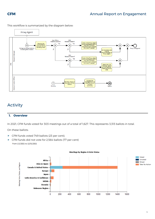

This workflow is summarized by the diagram below:

# <span id="page-3-0"></span>Activity

#### <span id="page-3-1"></span>**1. Overview**

In 2021, CFM funds voted for 303 meetings out of a total of 1,627. This represents 3,313 ballots in total.

On these ballots:

- ▶ CFM funds voted 749 ballots (23 per cent);
- ▶ CFM funds did not vote for 2,564 ballots (77 per cent) From 1/1/2021 to 12/31/2021

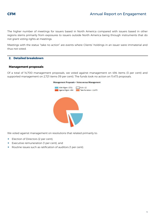The higher number of meetings for issuers based in North America compared with issuers based in other regions stems primarily from exposures to issuers outside North America being through instruments that do not grant voting rights at meetings.

Meetings with the status "take no action" are events where Clients' holdings in an issuer were immaterial and thus not voted.

#### <span id="page-4-0"></span>**2. Detailed breakdown**

#### <span id="page-4-1"></span>**Management proposals**

Of a total of 14,700 management proposals, we voted against management on 494 items (3 per cent) and supported management on 2,721 items (19 per cent). The funds took no action on 11,473 proposals.



We voted against management on resolutions that related primarily to:

- Election of Directors (2 per cent),
- Executive remuneration (1 per cent), and
- ▶ Routine issues such as ratification of auditors (1 per cent).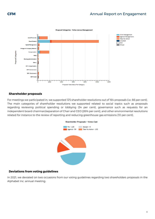### **CFM CFM Annual Report on Engagement**



#### <span id="page-5-0"></span>**Shareholder proposals**

For meetings we participated in, we supported 125 shareholder resolutions out of 164 proposals (i.e. 66 per cent). The main categories of shareholder resolutions we supported related to social topics such as proposals regarding reviewing political spending or lobbying (34 per cent), governance such as requests for an independent board chairman/separation of Chair and CEO (26% per cent), and other environmental resolutions related for instance to the review of reporting and reducing greenhouse gas emissions (10 per cent).



#### <span id="page-5-1"></span>**Deviations from voting guidelines**

<span id="page-5-2"></span>In 2021, we deviated on two occasions from our voting guidelines regarding two shareholders proposals in the Alphabet Inc. annual meeting.